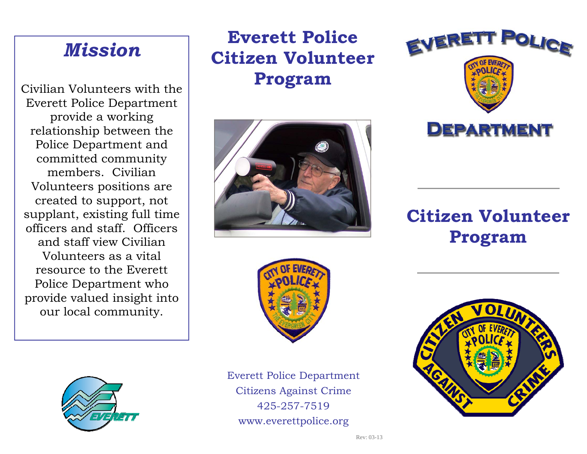# *Mission*

Civilian Volunteers with the Everett Police Department provide a working relationship between the Police Department and committed community members. Civilian Volunteers positions are created to support, not supplant, existing full time officers and staff. Officers and staff view Civilian Volunteers as a vital resource to the Everett Police Department who provide valued insight into our local community.

### **Everett Police Citizen Volunteer Program**





Everett Police Department Citizens Against Crime 425-257-7519 www.everettpolice.org



# **Citizen Volunteer Program**